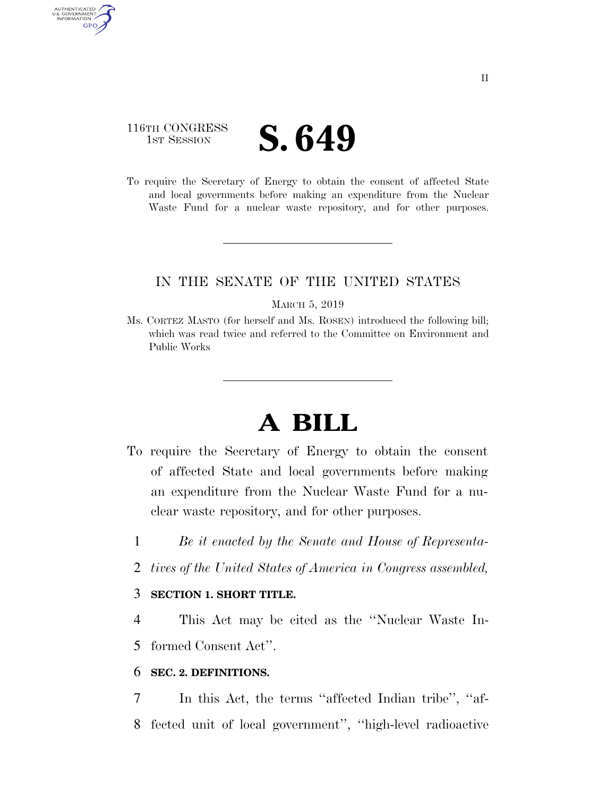## 116TH CONGRESS **IST SESSION S. 649**

AUTHENTICATED U.S. GOVERNMENT **GPO** 

> To require the Secretary of Energy to obtain the consent of affected State and local governments before making an expenditure from the Nuclear Waste Fund for a nuclear waste repository, and for other purposes.

### IN THE SENATE OF THE UNITED STATES

#### MARCH 5, 2019

Ms. CORTEZ MASTO (for herself and Ms. ROSEN) introduced the following bill; which was read twice and referred to the Committee on Environment and Public Works

# **A BILL**

- To require the Secretary of Energy to obtain the consent of affected State and local governments before making an expenditure from the Nuclear Waste Fund for a nuclear waste repository, and for other purposes.
	- 1 *Be it enacted by the Senate and House of Representa-*
	- 2 *tives of the United States of America in Congress assembled,*

### 3 **SECTION 1. SHORT TITLE.**

4 This Act may be cited as the ''Nuclear Waste In-5 formed Consent Act''.

### 6 **SEC. 2. DEFINITIONS.**

7 In this Act, the terms ''affected Indian tribe'', ''af-8 fected unit of local government'', ''high-level radioactive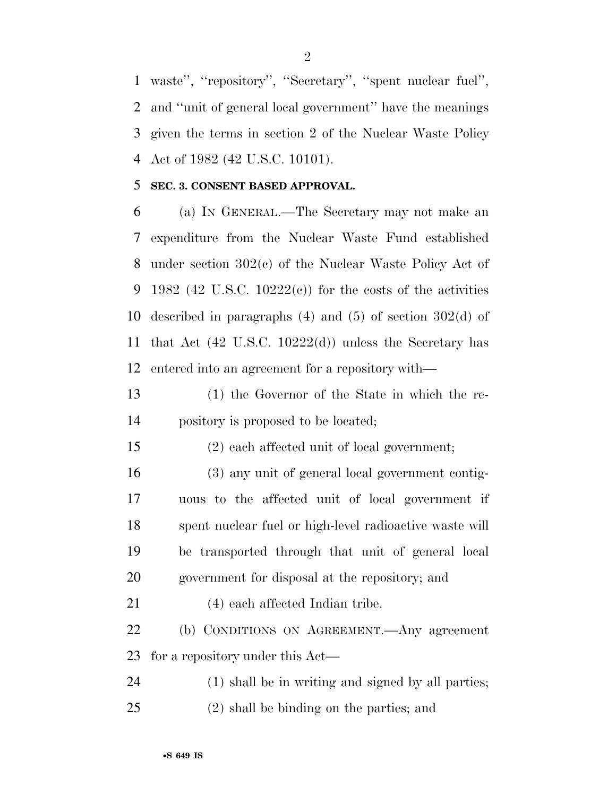waste'', ''repository'', ''Secretary'', ''spent nuclear fuel'', and ''unit of general local government'' have the meanings given the terms in section 2 of the Nuclear Waste Policy Act of 1982 (42 U.S.C. 10101).

### **SEC. 3. CONSENT BASED APPROVAL.**

 (a) IN GENERAL.—The Secretary may not make an expenditure from the Nuclear Waste Fund established under section 302(c) of the Nuclear Waste Policy Act of 9 1982 (42 U.S.C. 10222(c)) for the costs of the activities described in paragraphs (4) and (5) of section 302(d) of that Act (42 U.S.C. 10222(d)) unless the Secretary has entered into an agreement for a repository with—

 (1) the Governor of the State in which the re-pository is proposed to be located;

(2) each affected unit of local government;

 (3) any unit of general local government contig- uous to the affected unit of local government if spent nuclear fuel or high-level radioactive waste will be transported through that unit of general local government for disposal at the repository; and

(4) each affected Indian tribe.

 (b) CONDITIONS ON AGREEMENT.—Any agreement for a repository under this Act—

(1) shall be in writing and signed by all parties;

(2) shall be binding on the parties; and